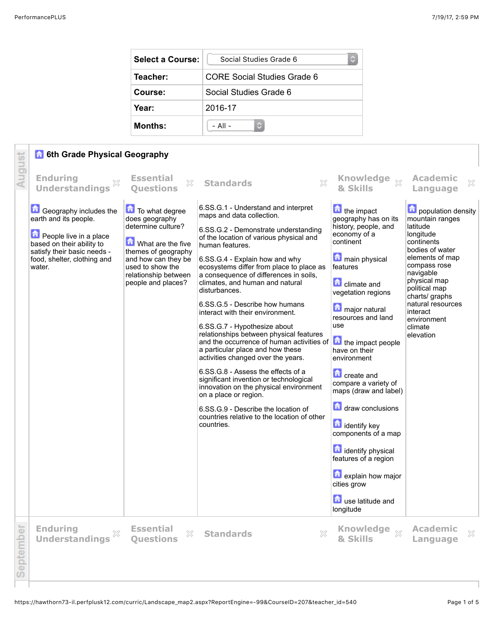ഗ്

| Select a Course: | Social Studies Grade 6      |  |  |
|------------------|-----------------------------|--|--|
| Teacher:         | CORE Social Studies Grade 6 |  |  |
| Course:          | Social Studies Grade 6      |  |  |
| Year:            | 2016-17                     |  |  |
| <b>Months:</b>   | $-$ All $-$                 |  |  |

## **6th Grade Physical Geography**

|         | <b>6 6th Grade Physical Geography</b>                                                                                                                                          |                                                                                                                                                                                             |                                                                                                                                                                                                                                                                                                                                                                                                                                                                                                                                                                                                                                                                                                                                                                                                                                                                                   |                                                                                                                                                                                                                                                                                                                                                                                                                                                                                                                          |                                                                                                                                                                                                                                                                            |
|---------|--------------------------------------------------------------------------------------------------------------------------------------------------------------------------------|---------------------------------------------------------------------------------------------------------------------------------------------------------------------------------------------|-----------------------------------------------------------------------------------------------------------------------------------------------------------------------------------------------------------------------------------------------------------------------------------------------------------------------------------------------------------------------------------------------------------------------------------------------------------------------------------------------------------------------------------------------------------------------------------------------------------------------------------------------------------------------------------------------------------------------------------------------------------------------------------------------------------------------------------------------------------------------------------|--------------------------------------------------------------------------------------------------------------------------------------------------------------------------------------------------------------------------------------------------------------------------------------------------------------------------------------------------------------------------------------------------------------------------------------------------------------------------------------------------------------------------|----------------------------------------------------------------------------------------------------------------------------------------------------------------------------------------------------------------------------------------------------------------------------|
| August  | <b>Enduring</b><br><b>Understandings</b>                                                                                                                                       | <b>Essential</b><br>X<br><b>Questions</b>                                                                                                                                                   | ×<br><b>Standards</b>                                                                                                                                                                                                                                                                                                                                                                                                                                                                                                                                                                                                                                                                                                                                                                                                                                                             | Knowledge xx<br>& Skills                                                                                                                                                                                                                                                                                                                                                                                                                                                                                                 | <b>Academic</b><br>X<br>Language                                                                                                                                                                                                                                           |
|         | Geography includes the<br>earth and its people.<br>People live in a place<br>based on their ability to<br>satisfy their basic needs -<br>food, shelter, clothing and<br>water. | To what degree<br>does geography<br>determine culture?<br>What are the five<br>themes of geography<br>and how can they be<br>used to show the<br>relationship between<br>people and places? | 6.SS.G.1 - Understand and interpret<br>maps and data collection.<br>6.SS.G.2 - Demonstrate understanding<br>of the location of various physical and<br>human features.<br>6.SS.G.4 - Explain how and why<br>ecosystems differ from place to place as<br>a consequence of differences in soils,<br>climates, and human and natural<br>disturbances.<br>6.SS.G.5 - Describe how humans<br>interact with their environment.<br>6.SS.G.7 - Hypothesize about<br>relationships between physical features<br>and the occurrence of human activities of<br>a particular place and how these<br>activities changed over the years.<br>6.SS.G.8 - Assess the effects of a<br>significant invention or technological<br>innovation on the physical environment<br>on a place or region.<br>6.SS.G.9 - Describe the location of<br>countries relative to the location of other<br>countries. | the impact<br>geography has on its<br>history, people, and<br>economy of a<br>continent<br>main physical<br>features<br>climate and<br>vegetation regions<br>major natural<br>resources and land<br>use<br>the impact people<br>have on their<br>environment<br><b>n</b> create and<br>compare a variety of<br>maps (draw and label)<br>draw conclusions<br>identify key<br>components of a map<br><b>identify physical</b><br>features of a region<br>explain how major<br>cities grow<br>use latitude and<br>longitude | population density<br>mountain ranges<br>latitude<br>longitude<br>continents<br>bodies of water<br>elements of map<br>compass rose<br>navigable<br>physical map<br>political map<br>charts/ graphs<br>natural resources<br>interact<br>environment<br>climate<br>elevation |
| ptember | <b>Enduring</b><br><b>Understandings</b>                                                                                                                                       | <b>Essential</b><br>$\mathbb{X}$<br><b>Questions</b>                                                                                                                                        | <b>Standards</b><br>X                                                                                                                                                                                                                                                                                                                                                                                                                                                                                                                                                                                                                                                                                                                                                                                                                                                             | <b>Knowledge</b><br>$\mathbb{X}$<br>& Skills                                                                                                                                                                                                                                                                                                                                                                                                                                                                             | <b>Academic</b><br>$\infty$<br>Language                                                                                                                                                                                                                                    |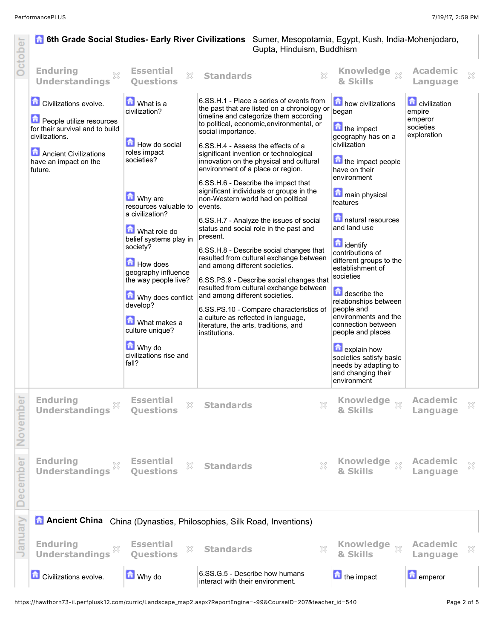| October  |                                                                                                                                                                                     |                                                                                                                                                                                                                                                                                                                                                                                                        | <b>A 6th Grade Social Studies- Early River Civilizations</b> Sumer, Mesopotamia, Egypt, Kush, India-Mohenjodaro,<br>Gupta, Hinduism, Buddhism                                                                                                                                                                                                                                                                                                                                                                                                                                                                                                                                                                                                                                                                                                                                                                                                                                                          |                                                                                                                                                                                                                                                                                                                                                                                                                                                                                                                                                  |                                                               |        |
|----------|-------------------------------------------------------------------------------------------------------------------------------------------------------------------------------------|--------------------------------------------------------------------------------------------------------------------------------------------------------------------------------------------------------------------------------------------------------------------------------------------------------------------------------------------------------------------------------------------------------|--------------------------------------------------------------------------------------------------------------------------------------------------------------------------------------------------------------------------------------------------------------------------------------------------------------------------------------------------------------------------------------------------------------------------------------------------------------------------------------------------------------------------------------------------------------------------------------------------------------------------------------------------------------------------------------------------------------------------------------------------------------------------------------------------------------------------------------------------------------------------------------------------------------------------------------------------------------------------------------------------------|--------------------------------------------------------------------------------------------------------------------------------------------------------------------------------------------------------------------------------------------------------------------------------------------------------------------------------------------------------------------------------------------------------------------------------------------------------------------------------------------------------------------------------------------------|---------------------------------------------------------------|--------|
|          | <b>Enduring</b><br>X<br><b>Understandings</b>                                                                                                                                       | <b>Essential</b><br>53<br><b>Ouestions</b>                                                                                                                                                                                                                                                                                                                                                             | $\chi$<br><b>Standards</b>                                                                                                                                                                                                                                                                                                                                                                                                                                                                                                                                                                                                                                                                                                                                                                                                                                                                                                                                                                             | Knowledge xx<br>& Skills                                                                                                                                                                                                                                                                                                                                                                                                                                                                                                                         | <b>Academic</b><br>Language                                   | X      |
|          | Civilizations evolve.<br><b>D</b> People utilize resources<br>for their survival and to build<br>civilizations.<br><b>Ancient Civilizations</b><br>have an impact on the<br>future. | <b>D</b> What is a<br>civilization?<br>How do social<br>roles impact<br>societies?<br><b>b</b> Why are<br>resources valuable to<br>a civilization?<br>What role do<br>belief systems play in<br>society?<br>How does<br>geography influence<br>the way people live?<br>Why does conflict<br>develop?<br><b>M</b> What makes a<br>culture unique?<br><b>M</b> Why do<br>civilizations rise and<br>fall? | 6.SS.H.1 - Place a series of events from<br>the past that are listed on a chronology or<br>timeline and categorize them according<br>to political, economic, environmental, or<br>social importance.<br>6.SS.H.4 - Assess the effects of a<br>significant invention or technological<br>innovation on the physical and cultural<br>environment of a place or region.<br>6.SS.H.6 - Describe the impact that<br>significant individuals or groups in the<br>non-Western world had on political<br>events.<br>6.SS.H.7 - Analyze the issues of social<br>status and social role in the past and<br>present.<br>6.SS.H.8 - Describe social changes that<br>resulted from cultural exchange between<br>and among different societies.<br>6.SS.PS.9 - Describe social changes that<br>resulted from cultural exchange between<br>and among different societies.<br>6.SS.PS.10 - Compare characteristics of<br>a culture as reflected in language,<br>literature, the arts, traditions, and<br>institutions. | how civilizations<br>began<br>the impact<br>geography has on a<br>civilization<br>the impact people<br>have on their<br>environment<br>main physical<br>features<br>natural resources<br>and land use<br>dentify<br>contributions of<br>different groups to the<br>establishment of<br>societies<br>$\blacksquare$ describe the<br>relationships between<br>people and<br>environments and the<br>connection between<br>people and places<br>explain how<br>societies satisfy basic<br>needs by adapting to<br>and changing their<br>environment | civilization<br>empire<br>emperor<br>societies<br>exploration |        |
| November | <b>Enduring</b><br>33<br><b>Understandings</b>                                                                                                                                      | <b>Essential</b><br>$\gtrsim$<br><b>Questions</b>                                                                                                                                                                                                                                                                                                                                                      | $\chi$<br><b>Standards</b>                                                                                                                                                                                                                                                                                                                                                                                                                                                                                                                                                                                                                                                                                                                                                                                                                                                                                                                                                                             | <b>Knowledge</b><br>$\bar{\chi}$<br>& Skills                                                                                                                                                                                                                                                                                                                                                                                                                                                                                                     | <b>Academic</b><br>Language                                   | $\chi$ |
| December | <b>Enduring</b><br>X<br><b>Understandings</b>                                                                                                                                       | <b>Essential</b><br>×<br><b>Ouestions</b>                                                                                                                                                                                                                                                                                                                                                              | <b>Standards</b><br>X                                                                                                                                                                                                                                                                                                                                                                                                                                                                                                                                                                                                                                                                                                                                                                                                                                                                                                                                                                                  | <b>Knowledge</b><br>$\chi$<br>& Skills                                                                                                                                                                                                                                                                                                                                                                                                                                                                                                           | <b>Academic</b><br>Language                                   | X      |
| Visunary | <b>Ancient China</b>                                                                                                                                                                |                                                                                                                                                                                                                                                                                                                                                                                                        | China (Dynasties, Philosophies, Silk Road, Inventions)                                                                                                                                                                                                                                                                                                                                                                                                                                                                                                                                                                                                                                                                                                                                                                                                                                                                                                                                                 |                                                                                                                                                                                                                                                                                                                                                                                                                                                                                                                                                  |                                                               |        |
|          | <b>Enduring</b><br>33<br><b>Understandings</b>                                                                                                                                      | <b>Essential</b><br>$\gtrsim$<br><b>Ouestions</b>                                                                                                                                                                                                                                                                                                                                                      | $\chi$<br><b>Standards</b>                                                                                                                                                                                                                                                                                                                                                                                                                                                                                                                                                                                                                                                                                                                                                                                                                                                                                                                                                                             | & Skills                                                                                                                                                                                                                                                                                                                                                                                                                                                                                                                                         | <b>Academic</b><br>Language                                   | ×      |
|          | Civilizations evolve.                                                                                                                                                               | Why do                                                                                                                                                                                                                                                                                                                                                                                                 | 6.SS.G.5 - Describe how humans<br>interact with their environment.                                                                                                                                                                                                                                                                                                                                                                                                                                                                                                                                                                                                                                                                                                                                                                                                                                                                                                                                     | the impact                                                                                                                                                                                                                                                                                                                                                                                                                                                                                                                                       | <b>n</b> emperor                                              |        |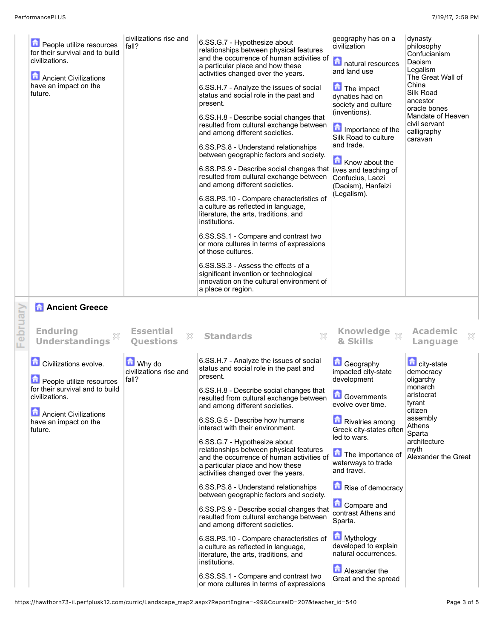j  $\overline{\mathbf{r}}$ 

|  | <b>D</b> People utilize resources<br>for their survival and to build<br>civilizations.<br>Ancient Civilizations<br>have an impact on the<br>future. | civilizations rise and<br>fall?                    | 6.SS.G.7 - Hypothesize about<br>relationships between physical features<br>and the occurrence of human activities of <b>n</b> natural resources<br>a particular place and how these<br>activities changed over the years.<br>6.SS.H.7 - Analyze the issues of social<br>status and social role in the past and<br>present.<br>6.SS.H.8 - Describe social changes that<br>resulted from cultural exchange between<br>and among different societies.<br>6.SS.PS.8 - Understand relationships<br>between geographic factors and society.<br>6.SS.PS.9 - Describe social changes that lives and teaching of<br>resulted from cultural exchange between<br>and among different societies.<br>6.SS.PS.10 - Compare characteristics of<br>a culture as reflected in language,<br>literature, the arts, traditions, and<br>institutions.<br>6.SS.SS.1 - Compare and contrast two<br>or more cultures in terms of expressions<br>of those cultures.<br>6.SS.SS.3 - Assess the effects of a<br>significant invention or technological<br>innovation on the cultural environment of<br>a place or region. | geography has on a<br>civilization<br>and land use<br>The impact<br>dynaties had on<br>society and culture<br>(inventions).<br>Importance of the<br>Silk Road to culture<br>and trade.<br>$\triangle$ Know about the<br>Confucius, Laozi<br>(Daoism), Hanfeizi<br>(Legalism). | dynasty<br>philosophy<br>Confucianism<br>Daoism<br>Legalism<br>The Great Wall of<br>China<br>Silk Road<br>ancestor<br>oracle bones<br>Mandate of Heaven<br>civil servant<br>calligraphy<br>caravan |
|--|-----------------------------------------------------------------------------------------------------------------------------------------------------|----------------------------------------------------|------------------------------------------------------------------------------------------------------------------------------------------------------------------------------------------------------------------------------------------------------------------------------------------------------------------------------------------------------------------------------------------------------------------------------------------------------------------------------------------------------------------------------------------------------------------------------------------------------------------------------------------------------------------------------------------------------------------------------------------------------------------------------------------------------------------------------------------------------------------------------------------------------------------------------------------------------------------------------------------------------------------------------------------------------------------------------------------------|-------------------------------------------------------------------------------------------------------------------------------------------------------------------------------------------------------------------------------------------------------------------------------|----------------------------------------------------------------------------------------------------------------------------------------------------------------------------------------------------|
|  | <b>Ancient Greece</b>                                                                                                                               |                                                    |                                                                                                                                                                                                                                                                                                                                                                                                                                                                                                                                                                                                                                                                                                                                                                                                                                                                                                                                                                                                                                                                                                |                                                                                                                                                                                                                                                                               |                                                                                                                                                                                                    |
|  | <b>Enduring</b><br><b>Understandings</b>                                                                                                            | <b>Essential</b><br>X<br><b>Questions</b>          | X<br><b>Standards</b>                                                                                                                                                                                                                                                                                                                                                                                                                                                                                                                                                                                                                                                                                                                                                                                                                                                                                                                                                                                                                                                                          | & Skills                                                                                                                                                                                                                                                                      | <b>Academic</b><br>X<br>Language                                                                                                                                                                   |
|  | Civilizations evolve.<br>People utilize resources                                                                                                   | <b>M</b> Why do<br>civilizations rise and<br>fall? | 6.SS.H.7 - Analyze the issues of social<br>status and social role in the past and<br>present.                                                                                                                                                                                                                                                                                                                                                                                                                                                                                                                                                                                                                                                                                                                                                                                                                                                                                                                                                                                                  | <b>Geography</b><br>impacted city-state<br>development                                                                                                                                                                                                                        | city-state<br>democracy<br>oligarchy                                                                                                                                                               |
|  | for their survival and to build<br>civilizations.<br>Ancient Civilizations<br>have an impact on the<br>future.                                      |                                                    | 6.SS.H.8 - Describe social changes that<br>resulted from cultural exchange between<br>and among different societies.                                                                                                                                                                                                                                                                                                                                                                                                                                                                                                                                                                                                                                                                                                                                                                                                                                                                                                                                                                           | <b>d</b> Governments<br>evolve over time.                                                                                                                                                                                                                                     | monarcn<br>aristocrat<br>tyrant<br>citizen                                                                                                                                                         |
|  |                                                                                                                                                     |                                                    | 6.SS.G.5 - Describe how humans<br>interact with their environment.                                                                                                                                                                                                                                                                                                                                                                                                                                                                                                                                                                                                                                                                                                                                                                                                                                                                                                                                                                                                                             | Rivalries among<br>Greek city-states often<br>led to wars.                                                                                                                                                                                                                    | assembly<br>Athens<br>Sparta                                                                                                                                                                       |
|  |                                                                                                                                                     |                                                    | 6.SS.G.7 - Hypothesize about<br>relationships between physical features<br>and the occurrence of human activities of<br>a particular place and how these<br>activities changed over the years.                                                                                                                                                                                                                                                                                                                                                                                                                                                                                                                                                                                                                                                                                                                                                                                                                                                                                                 | The importance of<br>waterways to trade<br>and travel.                                                                                                                                                                                                                        | architecture<br>myth<br>Alexander the Great                                                                                                                                                        |
|  |                                                                                                                                                     |                                                    | 6.SS.PS.8 - Understand relationships<br>between geographic factors and society.                                                                                                                                                                                                                                                                                                                                                                                                                                                                                                                                                                                                                                                                                                                                                                                                                                                                                                                                                                                                                | Rise of democracy                                                                                                                                                                                                                                                             |                                                                                                                                                                                                    |
|  |                                                                                                                                                     |                                                    | 6.SS.PS.9 - Describe social changes that<br>resulted from cultural exchange between<br>and among different societies.                                                                                                                                                                                                                                                                                                                                                                                                                                                                                                                                                                                                                                                                                                                                                                                                                                                                                                                                                                          | <b>Compare and</b><br>contrast Athens and<br>Sparta.                                                                                                                                                                                                                          |                                                                                                                                                                                                    |
|  |                                                                                                                                                     |                                                    | 6.SS.PS.10 - Compare characteristics of<br>a culture as reflected in language,<br>literature, the arts, traditions, and<br>institutions.                                                                                                                                                                                                                                                                                                                                                                                                                                                                                                                                                                                                                                                                                                                                                                                                                                                                                                                                                       | Mythology<br>developed to explain<br>natural occurrences.                                                                                                                                                                                                                     |                                                                                                                                                                                                    |
|  |                                                                                                                                                     |                                                    | 6.SS.SS.1 - Compare and contrast two<br>or more cultures in terms of expressions                                                                                                                                                                                                                                                                                                                                                                                                                                                                                                                                                                                                                                                                                                                                                                                                                                                                                                                                                                                                               | Alexander the<br>Great and the spread                                                                                                                                                                                                                                         |                                                                                                                                                                                                    |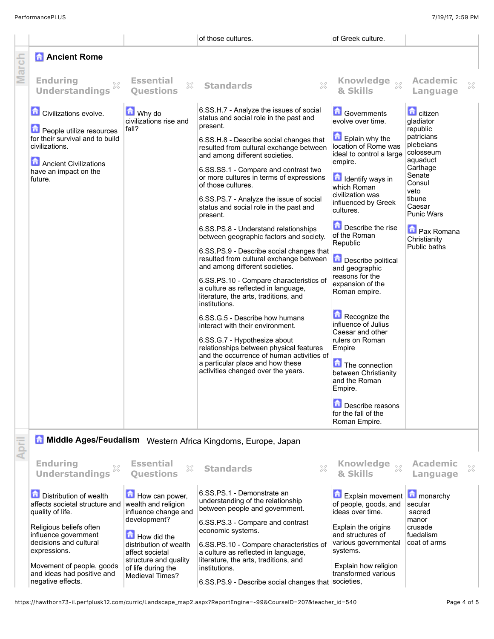|              |                                                                                                                                                                              |                                                    | of those cultures.                                                                                                                                                                                                                                                                                                                                                                                                                                                                                                                                                                                                                                                                                                                                                                                                                                                                                                                                                                                                                                               | of Greek culture.                                                                                                                                                                                                                                                                                                                                                                                                                                                                                                                                                                                                      |                                                                                                                                                                                                                              |   |
|--------------|------------------------------------------------------------------------------------------------------------------------------------------------------------------------------|----------------------------------------------------|------------------------------------------------------------------------------------------------------------------------------------------------------------------------------------------------------------------------------------------------------------------------------------------------------------------------------------------------------------------------------------------------------------------------------------------------------------------------------------------------------------------------------------------------------------------------------------------------------------------------------------------------------------------------------------------------------------------------------------------------------------------------------------------------------------------------------------------------------------------------------------------------------------------------------------------------------------------------------------------------------------------------------------------------------------------|------------------------------------------------------------------------------------------------------------------------------------------------------------------------------------------------------------------------------------------------------------------------------------------------------------------------------------------------------------------------------------------------------------------------------------------------------------------------------------------------------------------------------------------------------------------------------------------------------------------------|------------------------------------------------------------------------------------------------------------------------------------------------------------------------------------------------------------------------------|---|
| March        | <b>Ancient Rome</b>                                                                                                                                                          |                                                    |                                                                                                                                                                                                                                                                                                                                                                                                                                                                                                                                                                                                                                                                                                                                                                                                                                                                                                                                                                                                                                                                  |                                                                                                                                                                                                                                                                                                                                                                                                                                                                                                                                                                                                                        |                                                                                                                                                                                                                              |   |
|              | <b>Enduring</b><br><b>Understandings</b>                                                                                                                                     | <b>Essential</b><br>X<br><b>Ouestions</b>          | $\mathbb{X}$<br><b>Standards</b>                                                                                                                                                                                                                                                                                                                                                                                                                                                                                                                                                                                                                                                                                                                                                                                                                                                                                                                                                                                                                                 | Knowledge xx<br>& Skills                                                                                                                                                                                                                                                                                                                                                                                                                                                                                                                                                                                               | <b>Academic</b><br>Language                                                                                                                                                                                                  | X |
|              | Civilizations evolve.<br><b>D</b> People utilize resources<br>for their survival and to build<br>civilizations.<br>Ancient Civilizations<br>have an impact on the<br>future. | <b>M</b> Why do<br>civilizations rise and<br>fall? | 6.SS.H.7 - Analyze the issues of social<br>status and social role in the past and<br>present.<br>6.SS.H.8 - Describe social changes that<br>resulted from cultural exchange between<br>and among different societies.<br>6.SS.SS.1 - Compare and contrast two<br>or more cultures in terms of expressions<br>of those cultures.<br>6.SS.PS.7 - Analyze the issue of social<br>status and social role in the past and<br>present.<br>6.SS.PS.8 - Understand relationships<br>between geographic factors and society.<br>6.SS.PS.9 - Describe social changes that<br>resulted from cultural exchange between<br>and among different societies.<br>6.SS.PS.10 - Compare characteristics of<br>a culture as reflected in language,<br>literature, the arts, traditions, and<br>institutions.<br>6.SS.G.5 - Describe how humans<br>interact with their environment.<br>6.SS.G.7 - Hypothesize about<br>relationships between physical features<br>and the occurrence of human activities of<br>a particular place and how these<br>activities changed over the years. | <b>Governments</b><br>evolve over time.<br>Eplain why the<br>location of Rome was<br>ideal to control a large<br>empire.<br><b>d</b> Identify ways in<br>which Roman<br>civilization was<br>influenced by Greek<br>cultures.<br><b>Describe the rise</b><br>of the Roman<br>Republic<br><b>Describe political</b><br>and geographic<br>reasons for the<br>expansion of the<br>Roman empire.<br>Recognize the<br>influence of Julius<br>Caesar and other<br>rulers on Roman<br>Empire<br>The connection<br>between Christianity<br>and the Roman<br>Empire.<br>Describe reasons<br>for the fall of the<br>Roman Empire. | <b>n</b> citizen<br>gladiator<br>republic<br>patricians<br>plebeians<br>colosseum<br>aquaduct<br>Carthage<br>Senate<br>Consul<br>veto<br>tibune<br>Caesar<br><b>Punic Wars</b><br>Pax Romana<br>Christianity<br>Public baths |   |
| <b>April</b> |                                                                                                                                                                              |                                                    | Middle Ages/Feudalism Western Africa Kingdoms, Europe, Japan                                                                                                                                                                                                                                                                                                                                                                                                                                                                                                                                                                                                                                                                                                                                                                                                                                                                                                                                                                                                     |                                                                                                                                                                                                                                                                                                                                                                                                                                                                                                                                                                                                                        |                                                                                                                                                                                                                              |   |

| <b>Enduring</b><br>Understandings $\mathbb{X}$                                                                                                                                                                                                            | <b>Essential</b><br><b>Questions</b>                                                                                                                                                                               | <b>Standards</b>                                                                                                                                                                                                                                                                                                                                              | <b>Knowledge</b><br>& Skills                                                                                                                                                                                   | <b>Academic</b><br>Language                                        | X |
|-----------------------------------------------------------------------------------------------------------------------------------------------------------------------------------------------------------------------------------------------------------|--------------------------------------------------------------------------------------------------------------------------------------------------------------------------------------------------------------------|---------------------------------------------------------------------------------------------------------------------------------------------------------------------------------------------------------------------------------------------------------------------------------------------------------------------------------------------------------------|----------------------------------------------------------------------------------------------------------------------------------------------------------------------------------------------------------------|--------------------------------------------------------------------|---|
| Distribution of wealth<br>affects societal structure and<br>quality of life.<br>Religious beliefs often<br>influence government<br>decisions and cultural<br>expressions.<br>Movement of people, goods<br>and ideas had positive and<br>negative effects. | How can power,<br>wealth and religion<br>influence change and<br>development?<br>$\Box$ How did the<br>distribution of wealth<br>affect societal<br>structure and quality<br>of life during the<br>Medieval Times? | 6.SS.PS.1 - Demonstrate an<br>understanding of the relationship<br>between people and government.<br>6.SS.PS.3 - Compare and contrast<br>economic systems.<br>6.SS.PS.10 - Compare characteristics of<br>a culture as reflected in language.<br>literature, the arts, traditions, and<br>institutions.<br>6.SS.PS.9 - Describe social changes that societies, | <b>Explain movement n</b> monarchy<br>of people, goods, and<br>ideas over time.<br>Explain the origins<br>and structures of<br>various governmental<br>systems.<br>Explain how religion<br>transformed various | secular<br>sacred<br>manor<br>crusade<br>fuedalism<br>coat of arms |   |